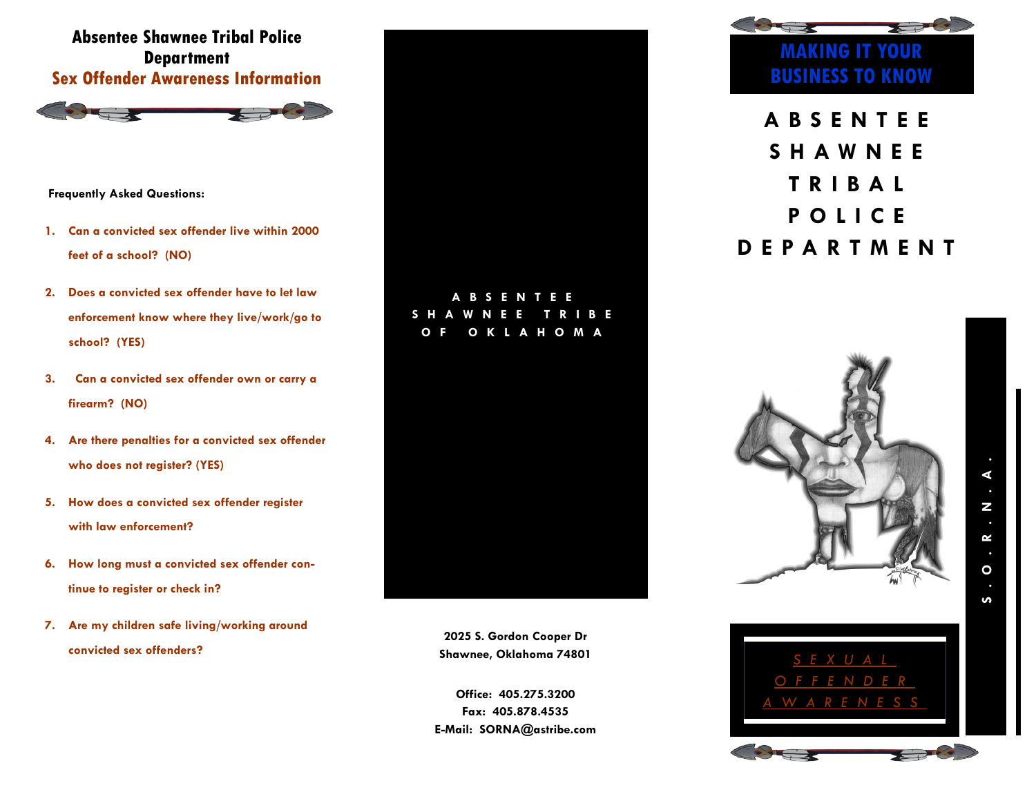## **Absentee Shawnee Tribal Police Department Sex Offender Awareness Information**



**Frequently Asked Questions:** 

- **1. Can a convicted sex offender live within 2000 feet of a school? (NO)**
- **2. Does a convicted sex offender have to let law enforcement know where they live/work/go to school? (YES)**
- **3. Can a convicted sex offender own or carry a firearm? (NO)**
- **4. Are there penalties for a convicted sex offender who does not register? (YES)**
- **5. How does a convicted sex offender register with law enforcement?**
- **6. How long must a convicted sex offender continue to register or check in?**
- **7. Are my children safe living/working around convicted sex offenders?**



**2025 S. Gordon Cooper Dr Shawnee, Oklahoma 74801**

**Office: 405.275.3200 Fax: 405.878.4535 E-Mail: SORNA@astribe.com**



**A B S E N T E E S H A W N E E T R I B A L P O L I C E D E P A R T M E N T**